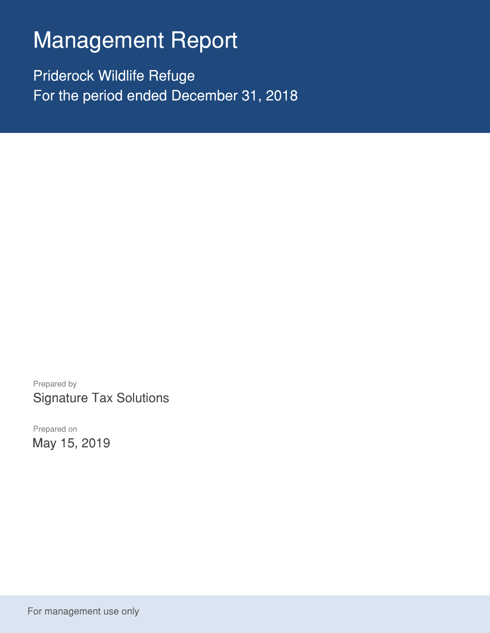# Management Report

Priderock Wildlife Refuge For the period ended December 31, 2018

Prepared by Signature Tax Solutions

Prepared on May 15, 2019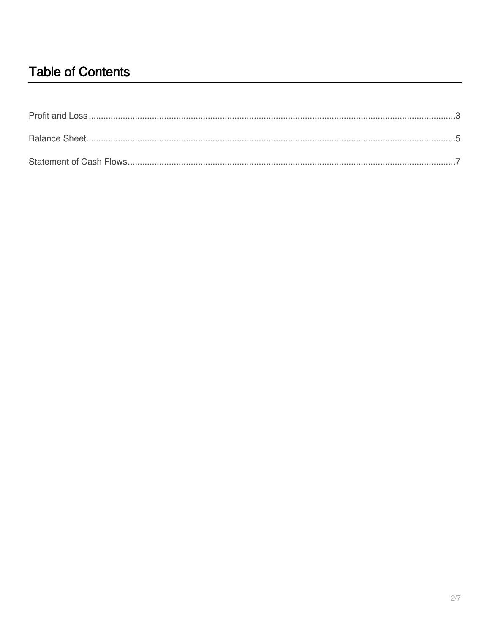## **Table of Contents**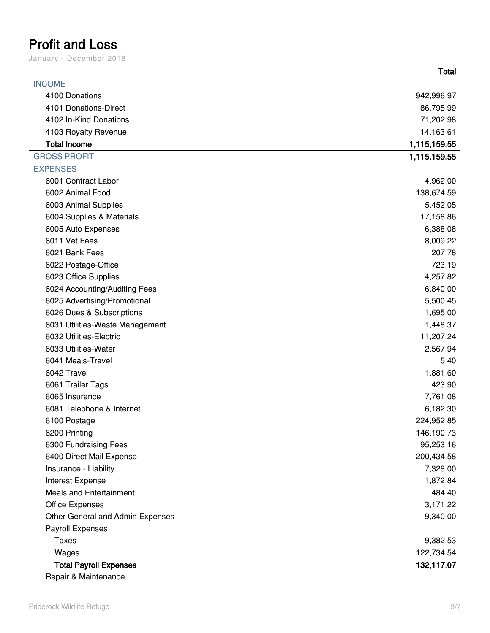### <span id="page-2-0"></span>**Profit and Loss**

January – December 2018

|                                  | Total        |
|----------------------------------|--------------|
| <b>INCOME</b>                    |              |
| 4100 Donations                   | 942,996.97   |
| 4101 Donations-Direct            | 86,795.99    |
| 4102 In-Kind Donations           | 71,202.98    |
| 4103 Royalty Revenue             | 14,163.61    |
| <b>Total Income</b>              | 1,115,159.55 |
| <b>GROSS PROFIT</b>              | 1,115,159.55 |
| <b>EXPENSES</b>                  |              |
| 6001 Contract Labor              | 4,962.00     |
| 6002 Animal Food                 | 138,674.59   |
| 6003 Animal Supplies             | 5,452.05     |
| 6004 Supplies & Materials        | 17,158.86    |
| 6005 Auto Expenses               | 6,388.08     |
| 6011 Vet Fees                    | 8,009.22     |
| 6021 Bank Fees                   | 207.78       |
| 6022 Postage-Office              | 723.19       |
| 6023 Office Supplies             | 4,257.82     |
| 6024 Accounting/Auditing Fees    | 6,840.00     |
| 6025 Advertising/Promotional     | 5,500.45     |
| 6026 Dues & Subscriptions        | 1,695.00     |
| 6031 Utilities-Waste Management  | 1,448.37     |
| 6032 Utilities-Electric          | 11,207.24    |
| 6033 Utilities-Water             | 2,567.94     |
| 6041 Meals-Travel                | 5.40         |
| 6042 Travel                      | 1,881.60     |
| 6061 Trailer Tags                | 423.90       |
| 6065 Insurance                   | 7,761.08     |
| 6081 Telephone & Internet        | 6,182.30     |
| 6100 Postage                     | 224,952.85   |
| 6200 Printing                    | 146,190.73   |
| 6300 Fundraising Fees            | 95,253.16    |
| 6400 Direct Mail Expense         | 200,434.58   |
| Insurance - Liability            | 7,328.00     |
| Interest Expense                 | 1,872.84     |
| <b>Meals and Entertainment</b>   | 484.40       |
| <b>Office Expenses</b>           | 3,171.22     |
| Other General and Admin Expenses | 9,340.00     |
| <b>Payroll Expenses</b>          |              |
| <b>Taxes</b>                     | 9,382.53     |
| Wages                            | 122,734.54   |
| <b>Total Payroll Expenses</b>    | 132,117.07   |

Repair & Maintenance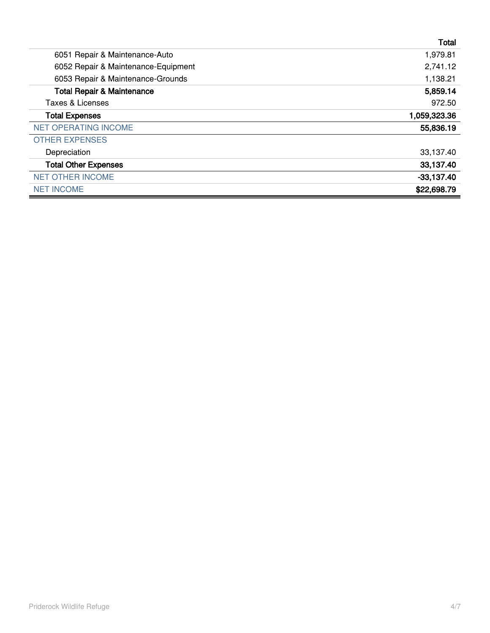|                                       | Total        |
|---------------------------------------|--------------|
| 6051 Repair & Maintenance-Auto        | 1,979.81     |
| 6052 Repair & Maintenance-Equipment   | 2,741.12     |
| 6053 Repair & Maintenance-Grounds     | 1,138.21     |
| <b>Total Repair &amp; Maintenance</b> | 5,859.14     |
| Taxes & Licenses                      | 972.50       |
| <b>Total Expenses</b>                 | 1,059,323.36 |
| <b>NET OPERATING INCOME</b>           | 55,836.19    |
| <b>OTHER EXPENSES</b>                 |              |
| Depreciation                          | 33,137.40    |
| <b>Total Other Expenses</b>           | 33,137.40    |
| <b>NET OTHER INCOME</b>               | $-33,137.40$ |
| <b>NET INCOME</b>                     | \$22,698.79  |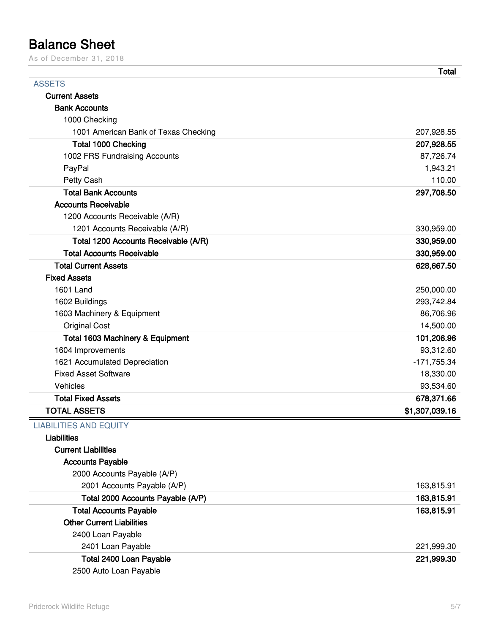### <span id="page-4-0"></span>**Balance Sheet**

As of December 31, 2018

|                                             | <b>Total</b>   |
|---------------------------------------------|----------------|
| <b>ASSETS</b>                               |                |
| <b>Current Assets</b>                       |                |
| <b>Bank Accounts</b>                        |                |
| 1000 Checking                               |                |
| 1001 American Bank of Texas Checking        | 207,928.55     |
| <b>Total 1000 Checking</b>                  | 207,928.55     |
| 1002 FRS Fundraising Accounts               | 87,726.74      |
| PayPal                                      | 1,943.21       |
| Petty Cash                                  | 110.00         |
| <b>Total Bank Accounts</b>                  | 297,708.50     |
| <b>Accounts Receivable</b>                  |                |
| 1200 Accounts Receivable (A/R)              |                |
| 1201 Accounts Receivable (A/R)              | 330,959.00     |
| Total 1200 Accounts Receivable (A/R)        | 330,959.00     |
| <b>Total Accounts Receivable</b>            | 330,959.00     |
| <b>Total Current Assets</b>                 | 628,667.50     |
| <b>Fixed Assets</b>                         |                |
| 1601 Land                                   | 250,000.00     |
| 1602 Buildings                              | 293,742.84     |
| 1603 Machinery & Equipment                  | 86,706.96      |
| <b>Original Cost</b>                        | 14,500.00      |
| <b>Total 1603 Machinery &amp; Equipment</b> | 101,206.96     |
| 1604 Improvements                           | 93,312.60      |
| 1621 Accumulated Depreciation               | -171,755.34    |
| <b>Fixed Asset Software</b>                 | 18,330.00      |
| Vehicles                                    | 93,534.60      |
| <b>Total Fixed Assets</b>                   | 678,371.66     |
| <b>TOTAL ASSETS</b>                         | \$1,307,039.16 |
| <b>LIABILITIES AND EQUITY</b>               |                |
| <b>Liabilities</b>                          |                |
| <b>Current Liabilities</b>                  |                |
| <b>Accounts Payable</b>                     |                |
| 2000 Accounts Payable (A/P)                 |                |
| 2001 Accounts Payable (A/P)                 | 163,815.91     |
| Total 2000 Accounts Payable (A/P)           | 163,815.91     |
| <b>Total Accounts Payable</b>               | 163,815.91     |
| <b>Other Current Liabilities</b>            |                |
| 2400 Loan Payable                           |                |
| 2401 Loan Payable                           | 221,999.30     |
| Total 2400 Loan Payable                     | 221,999.30     |
| 2500 Auto Loan Payable                      |                |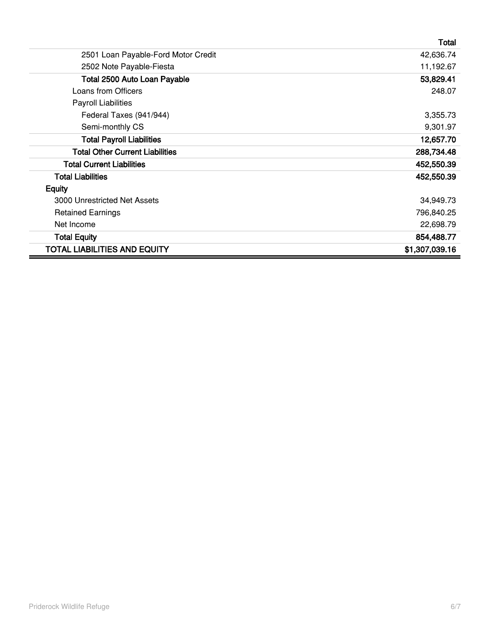|                                        | Total          |
|----------------------------------------|----------------|
| 2501 Loan Payable-Ford Motor Credit    | 42,636.74      |
| 2502 Note Payable-Fiesta               | 11,192.67      |
| Total 2500 Auto Loan Payable           | 53,829.41      |
| Loans from Officers                    | 248.07         |
| Payroll Liabilities                    |                |
| Federal Taxes (941/944)                | 3,355.73       |
| Semi-monthly CS                        | 9,301.97       |
| <b>Total Payroll Liabilities</b>       | 12,657.70      |
| <b>Total Other Current Liabilities</b> | 288,734.48     |
| <b>Total Current Liabilities</b>       | 452,550.39     |
| <b>Total Liabilities</b>               | 452,550.39     |
| <b>Equity</b>                          |                |
| 3000 Unrestricted Net Assets           | 34,949.73      |
| <b>Retained Earnings</b>               | 796,840.25     |
| Net Income                             | 22,698.79      |
| <b>Total Equity</b>                    | 854,488.77     |
| <b>TOTAL LIABILITIES AND EQUITY</b>    | \$1,307,039.16 |